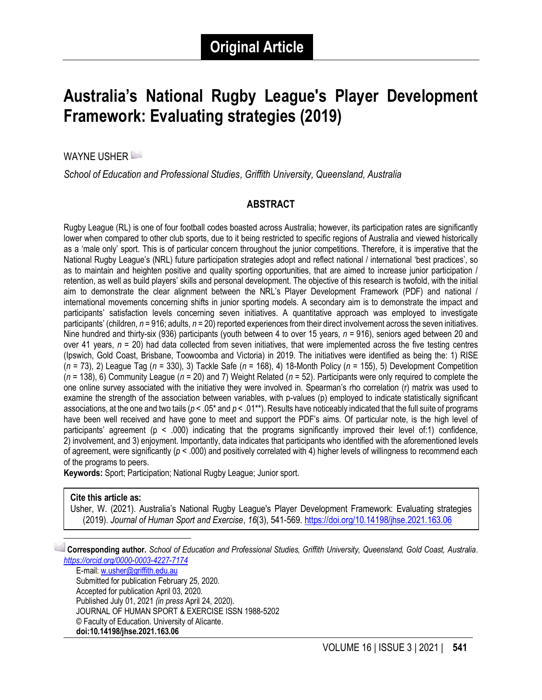# **Australia's National Rugby League's Player Development Framework: Evaluating strategies (2019)**

WAYNE USHER

*School of Education and Professional Studies, Griffith University, Queensland, Australia*

#### **ABSTRACT**

Rugby League (RL) is one of four football codes boasted across Australia; however, its participation rates are significantly lower when compared to other club sports, due to it being restricted to specific regions of Australia and viewed historically as a 'male only' sport. This is of particular concern throughout the junior competitions. Therefore, it is imperative that the National Rugby League's (NRL) future participation strategies adopt and reflect national / international 'best practices', so as to maintain and heighten positive and quality sporting opportunities, that are aimed to increase junior participation / retention, as well as build players' skills and personal development. The objective of this research is twofold, with the initial aim to demonstrate the clear alignment between the NRL's Player Development Framework (PDF) and national / international movements concerning shifts in junior sporting models. A secondary aim is to demonstrate the impact and participants' satisfaction levels concerning seven initiatives. A quantitative approach was employed to investigate participants' (children, *n* = 916; adults, *n* = 20) reported experiences from their direct involvement across the seven initiatives. Nine hundred and thirty-six (936) participants (youth between 4 to over 15 years, *n* = 916), seniors aged between 20 and over 41 years,  $n = 20$ ) had data collected from seven initiatives, that were implemented across the five testing centres (Ipswich, Gold Coast, Brisbane, Toowoomba and Victoria) in 2019. The initiatives were identified as being the: 1) RISE (*n* = 73), 2) League Tag (*n* = 330), 3) Tackle Safe (*n* = 168), 4) 18-Month Policy (*n* = 155), 5) Development Competition (*n* = 138), 6) Community League (*n* = 20) and 7) Weight Related (*n* = 52). Participants were only required to complete the one online survey associated with the initiative they were involved in. Spearman's rho correlation (r) matrix was used to examine the strength of the association between variables, with p-values (p) employed to indicate statistically significant associations, at the one and two tails (*p* < .05\* and *p* < .01\*\*). Results have noticeably indicated that the full suite of programs have been well received and have gone to meet and support the PDF's aims. Of particular note, is the high level of participants' agreement ( $p < .000$ ) indicating that the programs significantly improved their level of:1) confidence, 2) involvement, and 3) enjoyment. Importantly, data indicates that participants who identified with the aforementioned levels of agreement, were significantly (*p* < .000) and positively correlated with 4) higher levels of willingness to recommend each of the programs to peers.

**Keywords:** Sport; Participation; National Rugby League; Junior sport.

#### **Cite this article as:**

Usher, W. (2021). Australia's National Rugby League's Player Development Framework: Evaluating strategies (2019). *Journal of Human Sport and Exercise*, *16*(3), 541-569.<https://doi.org/10.14198/jhse.2021.163.06>

1 **Corresponding author.** *School of Education and Professional Studies, Griffith University, Queensland, Gold Coast, Australia. <https://orcid.org/0000-0003-4227-7174>*

E-mail: [w.usher@griffith.edu.au](mailto:w.usher@griffith.edu.au) Submitted for publication February 25, 2020. Accepted for publication April 03, 2020. Published July 01, 2021 *(in press* April 24, 2020). JOURNAL OF HUMAN SPORT & EXERCISE ISSN 1988-5202 © Faculty of Education. University of Alicante. **doi:10.14198/jhse.2021.163.06**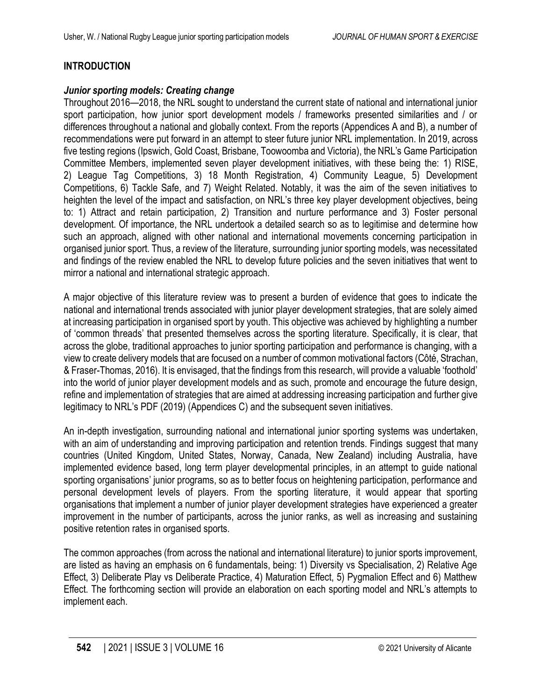## **INTRODUCTION**

#### *Junior sporting models: Creating change*

Throughout 2016—2018, the NRL sought to understand the current state of national and international junior sport participation, how junior sport development models / frameworks presented similarities and / or differences throughout a national and globally context. From the reports (Appendices A and B), a number of recommendations were put forward in an attempt to steer future junior NRL implementation. In 2019, across five testing regions (Ipswich, Gold Coast, Brisbane, Toowoomba and Victoria), the NRL's Game Participation Committee Members, implemented seven player development initiatives, with these being the: 1) RISE, 2) League Tag Competitions, 3) 18 Month Registration, 4) Community League, 5) Development Competitions, 6) Tackle Safe, and 7) Weight Related. Notably, it was the aim of the seven initiatives to heighten the level of the impact and satisfaction, on NRL's three key player development objectives, being to: 1) Attract and retain participation, 2) Transition and nurture performance and 3) Foster personal development. Of importance, the NRL undertook a detailed search so as to legitimise and determine how such an approach, aligned with other national and international movements concerning participation in organised junior sport. Thus, a review of the literature, surrounding junior sporting models, was necessitated and findings of the review enabled the NRL to develop future policies and the seven initiatives that went to mirror a national and international strategic approach.

A major objective of this literature review was to present a burden of evidence that goes to indicate the national and international trends associated with junior player development strategies, that are solely aimed at increasing participation in organised sport by youth. This objective was achieved by highlighting a number of 'common threads' that presented themselves across the sporting literature. Specifically, it is clear, that across the globe, traditional approaches to junior sporting participation and performance is changing, with a view to create delivery models that are focused on a number of common motivational factors (Côté, Strachan, & Fraser-Thomas, 2016). It is envisaged, that the findings from this research, will provide a valuable 'foothold' into the world of junior player development models and as such, promote and encourage the future design, refine and implementation of strategies that are aimed at addressing increasing participation and further give legitimacy to NRL's PDF (2019) (Appendices C) and the subsequent seven initiatives.

An in-depth investigation, surrounding national and international junior sporting systems was undertaken, with an aim of understanding and improving participation and retention trends. Findings suggest that many countries (United Kingdom, United States, Norway, Canada, New Zealand) including Australia, have implemented evidence based, long term player developmental principles, in an attempt to guide national sporting organisations' junior programs, so as to better focus on heightening participation, performance and personal development levels of players. From the sporting literature, it would appear that sporting organisations that implement a number of junior player development strategies have experienced a greater improvement in the number of participants, across the junior ranks, as well as increasing and sustaining positive retention rates in organised sports.

The common approaches (from across the national and international literature) to junior sports improvement, are listed as having an emphasis on 6 fundamentals, being: 1) Diversity vs Specialisation, 2) Relative Age Effect, 3) Deliberate Play vs Deliberate Practice, 4) Maturation Effect, 5) Pygmalion Effect and 6) Matthew Effect. The forthcoming section will provide an elaboration on each sporting model and NRL's attempts to implement each.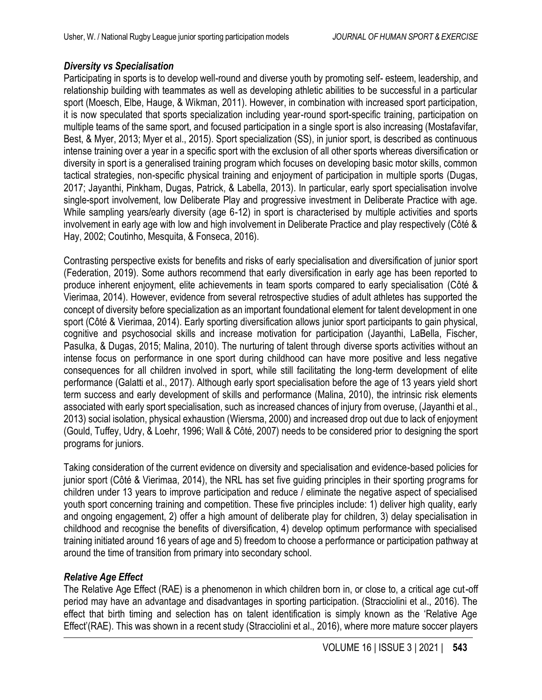#### *Diversity vs Specialisation*

Participating in sports is to develop well-round and diverse youth by promoting self- esteem, leadership, and relationship building with teammates as well as developing athletic abilities to be successful in a particular sport (Moesch, Elbe, Hauge, & Wikman, 2011). However, in combination with increased sport participation, it is now speculated that sports specialization including year-round sport-specific training, participation on multiple teams of the same sport, and focused participation in a single sport is also increasing (Mostafavifar, Best, & Myer, 2013; Myer et al., 2015). Sport specialization (SS), in junior sport, is described as continuous intense training over a year in a specific sport with the exclusion of all other sports whereas diversification or diversity in sport is a generalised training program which focuses on developing basic motor skills, common tactical strategies, non-specific physical training and enjoyment of participation in multiple sports (Dugas, 2017; Jayanthi, Pinkham, Dugas, Patrick, & Labella, 2013). In particular, early sport specialisation involve single-sport involvement, low Deliberate Play and progressive investment in Deliberate Practice with age. While sampling years/early diversity (age 6-12) in sport is characterised by multiple activities and sports involvement in early age with low and high involvement in Deliberate Practice and play respectively (Côté & Hay, 2002; Coutinho, Mesquita, & Fonseca, 2016).

Contrasting perspective exists for benefits and risks of early specialisation and diversification of junior sport (Federation, 2019). Some authors recommend that early diversification in early age has been reported to produce inherent enjoyment, elite achievements in team sports compared to early specialisation (Côté & Vierimaa, 2014). However, evidence from several retrospective studies of adult athletes has supported the concept of diversity before specialization as an important foundational element for talent development in one sport (Côté & Vierimaa, 2014). Early sporting diversification allows junior sport participants to gain physical, cognitive and psychosocial skills and increase motivation for participation (Jayanthi, LaBella, Fischer, Pasulka, & Dugas, 2015; Malina, 2010). The nurturing of talent through diverse sports activities without an intense focus on performance in one sport during childhood can have more positive and less negative consequences for all children involved in sport, while still facilitating the long-term development of elite performance (Galatti et al., 2017). Although early sport specialisation before the age of 13 years yield short term success and early development of skills and performance (Malina, 2010), the intrinsic risk elements associated with early sport specialisation, such as increased chances of injury from overuse, (Jayanthi et al., 2013) social isolation, physical exhaustion (Wiersma, 2000) and increased drop out due to lack of enjoyment (Gould, Tuffey, Udry, & Loehr, 1996; Wall & Côté, 2007) needs to be considered prior to designing the sport programs for juniors.

Taking consideration of the current evidence on diversity and specialisation and evidence-based policies for junior sport (Côté & Vierimaa, 2014), the NRL has set five guiding principles in their sporting programs for children under 13 years to improve participation and reduce / eliminate the negative aspect of specialised youth sport concerning training and competition. These five principles include: 1) deliver high quality, early and ongoing engagement, 2) offer a high amount of deliberate play for children, 3) delay specialisation in childhood and recognise the benefits of diversification, 4) develop optimum performance with specialised training initiated around 16 years of age and 5) freedom to choose a performance or participation pathway at around the time of transition from primary into secondary school.

### *Relative Age Effect*

The Relative Age Effect (RAE) is a phenomenon in which children born in, or close to, a critical age cut-off period may have an advantage and disadvantages in sporting participation. (Stracciolini et al., 2016). The effect that birth timing and selection has on talent identification is simply known as the 'Relative Age Effect'(RAE). This was shown in a recent study (Stracciolini et al., 2016), where more mature soccer players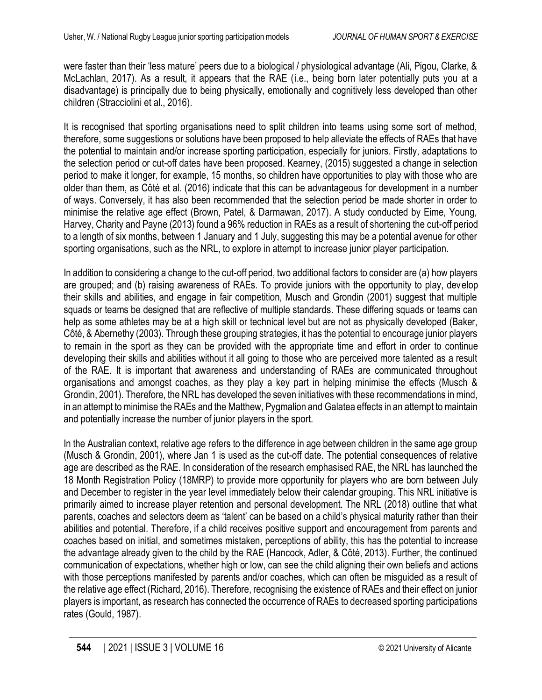were faster than their 'less mature' peers due to a biological / physiological advantage (Ali, Pigou, Clarke, & McLachlan, 2017). As a result, it appears that the RAE (i.e., being born later potentially puts you at a disadvantage) is principally due to being physically, emotionally and cognitively less developed than other children (Stracciolini et al., 2016).

It is recognised that sporting organisations need to split children into teams using some sort of method, therefore, some suggestions or solutions have been proposed to help alleviate the effects of RAEs that have the potential to maintain and/or increase sporting participation, especially for juniors. Firstly, adaptations to the selection period or cut-off dates have been proposed. Kearney, (2015) suggested a change in selection period to make it longer, for example, 15 months, so children have opportunities to play with those who are older than them, as Côté et al. (2016) indicate that this can be advantageous for development in a number of ways. Conversely, it has also been recommended that the selection period be made shorter in order to minimise the relative age effect (Brown, Patel, & Darmawan, 2017). A study conducted by Eime, Young, Harvey, Charity and Payne (2013) found a 96% reduction in RAEs as a result of shortening the cut-off period to a length of six months, between 1 January and 1 July, suggesting this may be a potential avenue for other sporting organisations, such as the NRL, to explore in attempt to increase junior player participation.

In addition to considering a change to the cut-off period, two additional factors to consider are (a) how players are grouped; and (b) raising awareness of RAEs. To provide juniors with the opportunity to play, develop their skills and abilities, and engage in fair competition, Musch and Grondin (2001) suggest that multiple squads or teams be designed that are reflective of multiple standards. These differing squads or teams can help as some athletes may be at a high skill or technical level but are not as physically developed (Baker, Côté, & Abernethy (2003). Through these grouping strategies, it has the potential to encourage junior players to remain in the sport as they can be provided with the appropriate time and effort in order to continue developing their skills and abilities without it all going to those who are perceived more talented as a result of the RAE. It is important that awareness and understanding of RAEs are communicated throughout organisations and amongst coaches, as they play a key part in helping minimise the effects (Musch & Grondin, 2001). Therefore, the NRL has developed the seven initiatives with these recommendations in mind, in an attempt to minimise the RAEs and the Matthew, Pygmalion and Galatea effects in an attempt to maintain and potentially increase the number of junior players in the sport.

In the Australian context, relative age refers to the difference in age between children in the same age group (Musch & Grondin, 2001), where Jan 1 is used as the cut-off date. The potential consequences of relative age are described as the RAE. In consideration of the research emphasised RAE, the NRL has launched the 18 Month Registration Policy (18MRP) to provide more opportunity for players who are born between July and December to register in the year level immediately below their calendar grouping. This NRL initiative is primarily aimed to increase player retention and personal development. The NRL (2018) outline that what parents, coaches and selectors deem as 'talent' can be based on a child's physical maturity rather than their abilities and potential. Therefore, if a child receives positive support and encouragement from parents and coaches based on initial, and sometimes mistaken, perceptions of ability, this has the potential to increase the advantage already given to the child by the RAE (Hancock, Adler, & Côté, 2013). Further, the continued communication of expectations, whether high or low, can see the child aligning their own beliefs and actions with those perceptions manifested by parents and/or coaches, which can often be misguided as a result of the relative age effect (Richard, 2016). Therefore, recognising the existence of RAEs and their effect on junior players is important, as research has connected the occurrence of RAEs to decreased sporting participations rates (Gould, 1987).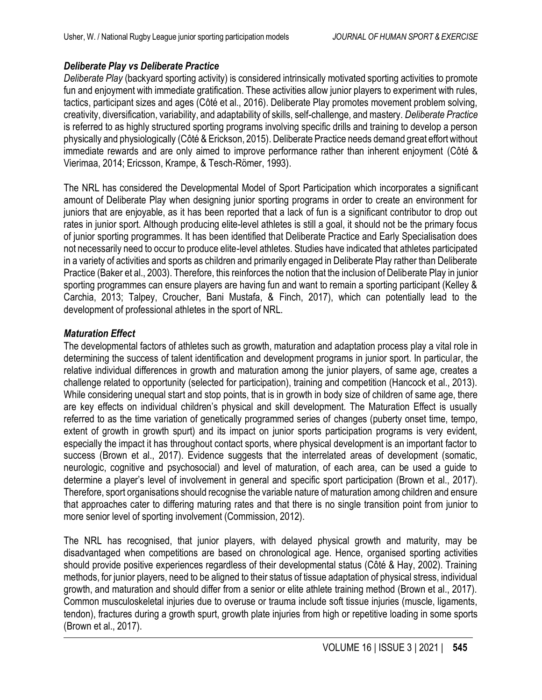#### *Deliberate Play vs Deliberate Practice*

*Deliberate Play* (backyard sporting activity) is considered intrinsically motivated sporting activities to promote fun and enjoyment with immediate gratification. These activities allow junior players to experiment with rules, tactics, participant sizes and ages (Côté et al., 2016). Deliberate Play promotes movement problem solving, creativity, diversification, variability, and adaptability of skills, self-challenge, and mastery. *Deliberate Practice* is referred to as highly structured sporting programs involving specific drills and training to develop a person physically and physiologically (Côté & Erickson, 2015). Deliberate Practice needs demand great effort without immediate rewards and are only aimed to improve performance rather than inherent enjoyment (Côté & Vierimaa, 2014; Ericsson, Krampe, & Tesch-Römer, 1993).

The NRL has considered the Developmental Model of Sport Participation which incorporates a significant amount of Deliberate Play when designing junior sporting programs in order to create an environment for juniors that are enjoyable, as it has been reported that a lack of fun is a significant contributor to drop out rates in junior sport. Although producing elite-level athletes is still a goal, it should not be the primary focus of junior sporting programmes. It has been identified that Deliberate Practice and Early Specialisation does not necessarily need to occur to produce elite-level athletes. Studies have indicated that athletes participated in a variety of activities and sports as children and primarily engaged in Deliberate Play rather than Deliberate Practice (Baker et al., 2003). Therefore, this reinforces the notion that the inclusion of Deliberate Play in junior sporting programmes can ensure players are having fun and want to remain a sporting participant (Kelley & Carchia, 2013; Talpey, Croucher, Bani Mustafa, & Finch, 2017), which can potentially lead to the development of professional athletes in the sport of NRL.

#### *Maturation Effect*

The developmental factors of athletes such as growth, maturation and adaptation process play a vital role in determining the success of talent identification and development programs in junior sport. In particular, the relative individual differences in growth and maturation among the junior players, of same age, creates a challenge related to opportunity (selected for participation), training and competition (Hancock et al., 2013). While considering unequal start and stop points, that is in growth in body size of children of same age, there are key effects on individual children's physical and skill development. The Maturation Effect is usually referred to as the time variation of genetically programmed series of changes (puberty onset time, tempo, extent of growth in growth spurt) and its impact on junior sports participation programs is very evident, especially the impact it has throughout contact sports, where physical development is an important factor to success (Brown et al., 2017). Evidence suggests that the interrelated areas of development (somatic, neurologic, cognitive and psychosocial) and level of maturation, of each area, can be used a guide to determine a player's level of involvement in general and specific sport participation (Brown et al., 2017). Therefore, sport organisations should recognise the variable nature of maturation among children and ensure that approaches cater to differing maturing rates and that there is no single transition point from junior to more senior level of sporting involvement (Commission, 2012).

The NRL has recognised, that junior players, with delayed physical growth and maturity, may be disadvantaged when competitions are based on chronological age. Hence, organised sporting activities should provide positive experiences regardless of their developmental status (Côté & Hay, 2002). Training methods, for junior players, need to be aligned to their status of tissue adaptation of physical stress, individual growth, and maturation and should differ from a senior or elite athlete training method (Brown et al., 2017). Common musculoskeletal injuries due to overuse or trauma include soft tissue injuries (muscle, ligaments, tendon), fractures during a growth spurt, growth plate injuries from high or repetitive loading in some sports (Brown et al., 2017).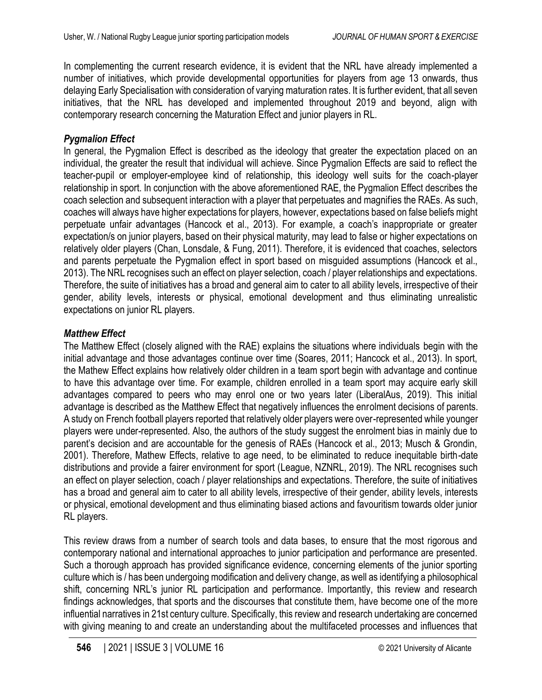In complementing the current research evidence, it is evident that the NRL have already implemented a number of initiatives, which provide developmental opportunities for players from age 13 onwards, thus delaying Early Specialisation with consideration of varying maturation rates. It is further evident, that all seven initiatives, that the NRL has developed and implemented throughout 2019 and beyond, align with contemporary research concerning the Maturation Effect and junior players in RL.

### *Pygmalion Effect*

In general, the Pygmalion Effect is described as the ideology that greater the expectation placed on an individual, the greater the result that individual will achieve. Since Pygmalion Effects are said to reflect the teacher-pupil or employer-employee kind of relationship, this ideology well suits for the coach-player relationship in sport. In conjunction with the above aforementioned RAE, the Pygmalion Effect describes the coach selection and subsequent interaction with a player that perpetuates and magnifies the RAEs. As such, coaches will always have higher expectations for players, however, expectations based on false beliefs might perpetuate unfair advantages (Hancock et al., 2013). For example, a coach's inappropriate or greater expectation/s on junior players, based on their physical maturity, may lead to false or higher expectations on relatively older players (Chan, Lonsdale, & Fung, 2011). Therefore, it is evidenced that coaches, selectors and parents perpetuate the Pygmalion effect in sport based on misguided assumptions (Hancock et al., 2013). The NRL recognises such an effect on player selection, coach / player relationships and expectations. Therefore, the suite of initiatives has a broad and general aim to cater to all ability levels, irrespective of their gender, ability levels, interests or physical, emotional development and thus eliminating unrealistic expectations on junior RL players.

## *Matthew Effect*

The Matthew Effect (closely aligned with the RAE) explains the situations where individuals begin with the initial advantage and those advantages continue over time (Soares, 2011; Hancock et al., 2013). In sport, the Mathew Effect explains how relatively older children in a team sport begin with advantage and continue to have this advantage over time. For example, children enrolled in a team sport may acquire early skill advantages compared to peers who may enrol one or two years later (LiberalAus, 2019). This initial advantage is described as the Matthew Effect that negatively influences the enrolment decisions of parents. A study on French football players reported that relatively older players were over-represented while younger players were under-represented. Also, the authors of the study suggest the enrolment bias in mainly due to parent's decision and are accountable for the genesis of RAEs (Hancock et al., 2013; Musch & Grondin, 2001). Therefore, Mathew Effects, relative to age need, to be eliminated to reduce inequitable birth-date distributions and provide a fairer environment for sport (League, NZNRL, 2019). The NRL recognises such an effect on player selection, coach / player relationships and expectations. Therefore, the suite of initiatives has a broad and general aim to cater to all ability levels, irrespective of their gender, ability levels, interests or physical, emotional development and thus eliminating biased actions and favouritism towards older junior RL players.

This review draws from a number of search tools and data bases, to ensure that the most rigorous and contemporary national and international approaches to junior participation and performance are presented. Such a thorough approach has provided significance evidence, concerning elements of the junior sporting culture which is / has been undergoing modification and delivery change, as well as identifying a philosophical shift, concerning NRL's junior RL participation and performance. Importantly, this review and research findings acknowledges, that sports and the discourses that constitute them, have become one of the more influential narratives in 21st century culture. Specifically, this review and research undertaking are concerned with giving meaning to and create an understanding about the multifaceted processes and influences that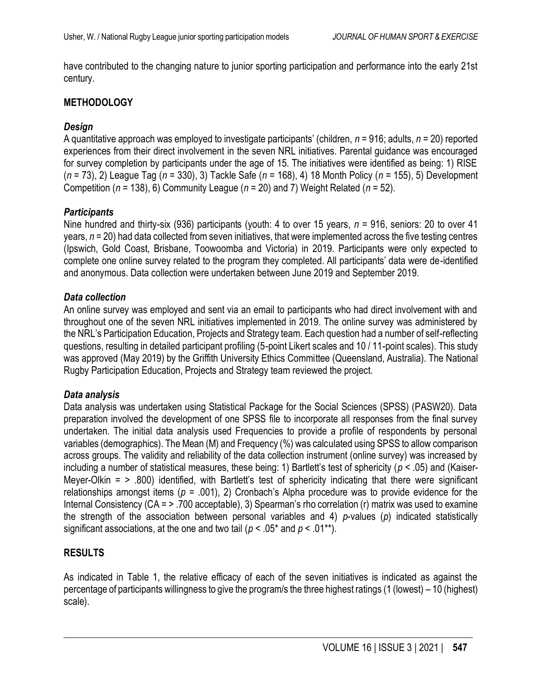have contributed to the changing nature to junior sporting participation and performance into the early 21st century.

#### **METHODOLOGY**

#### *Design*

A quantitative approach was employed to investigate participants' (children, *n* = 916; adults, *n* = 20) reported experiences from their direct involvement in the seven NRL initiatives. Parental guidance was encouraged for survey completion by participants under the age of 15. The initiatives were identified as being: 1) RISE (*n* = 73), 2) League Tag (*n* = 330), 3) Tackle Safe (*n* = 168), 4) 18 Month Policy (*n* = 155), 5) Development Competition (*n* = 138), 6) Community League (*n* = 20) and 7) Weight Related (*n* = 52).

#### *Participants*

Nine hundred and thirty-six (936) participants (youth: 4 to over 15 years, *n* = 916, seniors: 20 to over 41 years, *n* = 20) had data collected from seven initiatives, that were implemented across the five testing centres (Ipswich, Gold Coast, Brisbane, Toowoomba and Victoria) in 2019. Participants were only expected to complete one online survey related to the program they completed. All participants' data were de-identified and anonymous. Data collection were undertaken between June 2019 and September 2019.

#### *Data collection*

An online survey was employed and sent via an email to participants who had direct involvement with and throughout one of the seven NRL initiatives implemented in 2019. The online survey was administered by the NRL's Participation Education, Projects and Strategy team. Each question had a number of self-reflecting questions, resulting in detailed participant profiling (5-point Likert scales and 10 / 11-point scales). This study was approved (May 2019) by the Griffith University Ethics Committee (Queensland, Australia). The National Rugby Participation Education, Projects and Strategy team reviewed the project.

#### *Data analysis*

Data analysis was undertaken using Statistical Package for the Social Sciences (SPSS) (PASW20). Data preparation involved the development of one SPSS file to incorporate all responses from the final survey undertaken. The initial data analysis used Frequencies to provide a profile of respondents by personal variables (demographics). The Mean (M) and Frequency (%) was calculated using SPSS to allow comparison across groups. The validity and reliability of the data collection instrument (online survey) was increased by including a number of statistical measures, these being: 1) Bartlett's test of sphericity (*p* < .05) and (Kaiser-Meyer-Olkin  $=$   $>$  .800) identified, with Bartlett's test of sphericity indicating that there were significant relationships amongst items (*p* = .001), 2) Cronbach's Alpha procedure was to provide evidence for the Internal Consistency (CA = > .700 acceptable), 3) Spearman's rho correlation (r) matrix was used to examine the strength of the association between personal variables and 4) *p*-values (*p*) indicated statistically significant associations, at the one and two tail ( $p < .05^*$  and  $p < .01^{**}$ ).

### **RESULTS**

As indicated in [Table 1](#page-7-0), the relative efficacy of each of the seven initiatives is indicated as against the percentage of participants willingness to give the program/s the three highest ratings (1 (lowest) – 10 (highest) scale).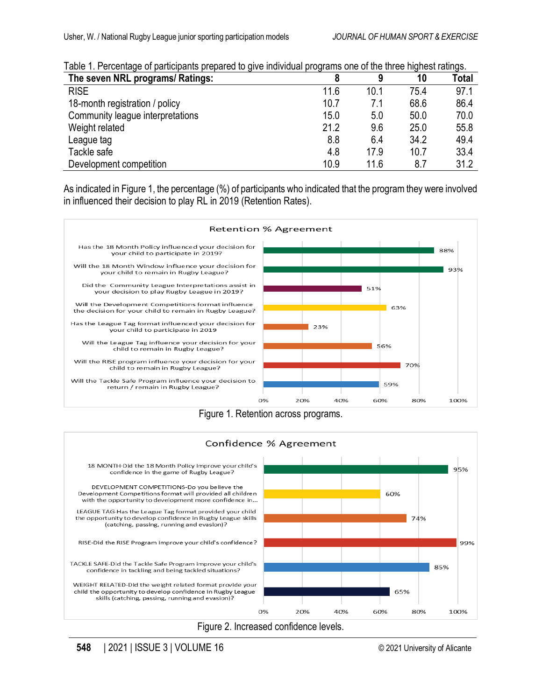| rapid T. Lorodniago or participanto proparoa to gri o marriadar programo ono or tho thiou mgribot ratingo. |      |      |      |       |  |
|------------------------------------------------------------------------------------------------------------|------|------|------|-------|--|
| The seven NRL programs/ Ratings:                                                                           |      | 9    | 10   | Total |  |
| <b>RISE</b>                                                                                                | 11.6 | 10.1 | 75.4 | 97.1  |  |
| 18-month registration / policy                                                                             | 10.7 | 7.1  | 68.6 | 86.4  |  |
| Community league interpretations                                                                           | 15.0 | 5.0  | 50.0 | 70.0  |  |
| Weight related                                                                                             | 21.2 | 9.6  | 25.0 | 55.8  |  |
| League tag                                                                                                 | 8.8  | 6.4  | 34.2 | 49.4  |  |
| Tackle safe                                                                                                | 4.8  | 17.9 | 10.7 | 33.4  |  |
| Development competition                                                                                    | 10.9 | 11.6 | 8.7  | 31.2  |  |

<span id="page-7-0"></span>

|  | Table 1. Percentage of participants prepared to give individual programs one of the three highest ratings. |  |  |  |  |  |
|--|------------------------------------------------------------------------------------------------------------|--|--|--|--|--|
|--|------------------------------------------------------------------------------------------------------------|--|--|--|--|--|

As indicated in Figure 1, the percentage (%) of participants who indicated that the program they were involved in influenced their decision to play RL in 2019 (Retention Rates).



Figure 1. Retention across programs.



Figure 2. Increased confidence levels.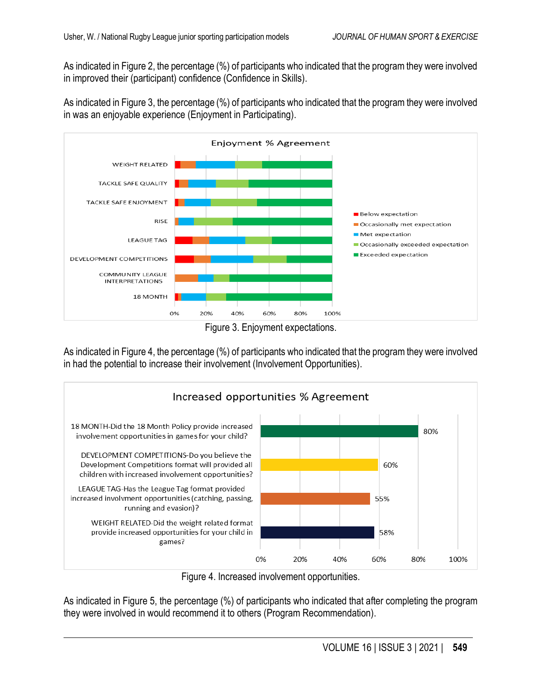As indicated in Figure 2, the percentage (%) of participants who indicated that the program they were involved in improved their (participant) confidence (Confidence in Skills).

As indicated in Figure 3, the percentage (%) of participants who indicated that the program they were involved in was an enjoyable experience (Enjoyment in Participating).



Figure 3. Enjoyment expectations.

As indicated in Figure 4, the percentage (%) of participants who indicated that the program they were involved in had the potential to increase their involvement (Involvement Opportunities).



Figure 4. Increased involvement opportunities.

As indicated in Figure 5, the percentage (%) of participants who indicated that after completing the program they were involved in would recommend it to others (Program Recommendation).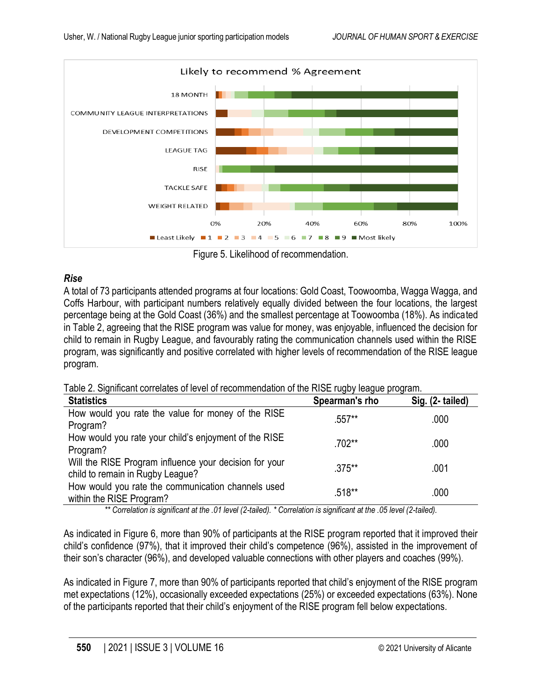

Figure 5. Likelihood of recommendation.

### *Rise*

A total of 73 participants attended programs at four locations: Gold Coast, Toowoomba, Wagga Wagga, and Coffs Harbour, with participant numbers relatively equally divided between the four locations, the largest percentage being at the Gold Coast (36%) and the smallest percentage at Toowoomba (18%). As indicated in Table 2, agreeing that the RISE program was value for money, was enjoyable, influenced the decision for child to remain in Rugby League, and favourably rating the communication channels used within the RISE program, was significantly and positive correlated with higher levels of recommendation of the RISE league program.

| Table 2. Significant correlates of level of recommendation of the RISE rugby league program. |  |  |  |  |  |
|----------------------------------------------------------------------------------------------|--|--|--|--|--|
|----------------------------------------------------------------------------------------------|--|--|--|--|--|

| <b>Statistics</b>                                                                          | Spearman's rho | Sig. (2- tailed) |
|--------------------------------------------------------------------------------------------|----------------|------------------|
| How would you rate the value for money of the RISE<br>Program?                             | $.557**$       | .000             |
| How would you rate your child's enjoyment of the RISE<br>Program?                          | $.702**$       | .000             |
| Will the RISE Program influence your decision for your<br>child to remain in Rugby League? | $.375***$      | .001             |
| How would you rate the communication channels used<br>within the RISE Program?             | .518**         | .000             |

*\*\* Correlation is significant at the .01 level (2-tailed). \* Correlation is significant at the .05 level (2-tailed).*

As indicated in Figure 6, more than 90% of participants at the RISE program reported that it improved their child's confidence (97%), that it improved their child's competence (96%), assisted in the improvement of their son's character (96%), and developed valuable connections with other players and coaches (99%).

As indicated in Figure 7, more than 90% of participants reported that child's enjoyment of the RISE program met expectations (12%), occasionally exceeded expectations (25%) or exceeded expectations (63%). None of the participants reported that their child's enjoyment of the RISE program fell below expectations.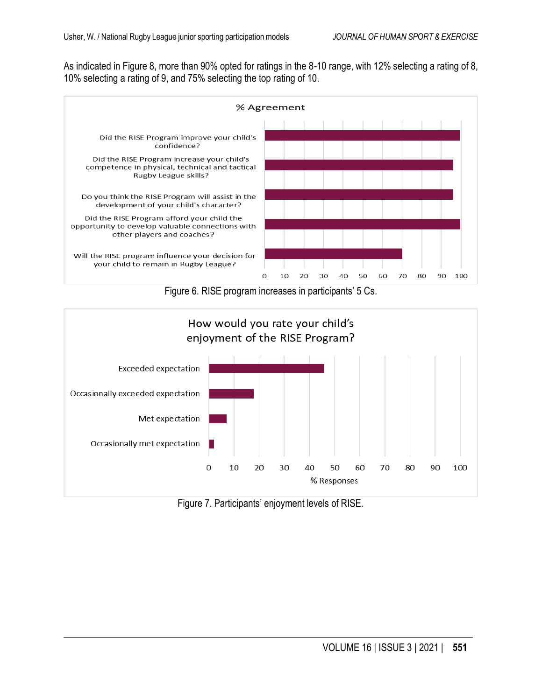As indicated in Figure 8, more than 90% opted for ratings in the 8-10 range, with 12% selecting a rating of 8, 10% selecting a rating of 9, and 75% selecting the top rating of 10.



Figure 6. RISE program increases in participants' 5 Cs.



Figure 7. Participants' enjoyment levels of RISE.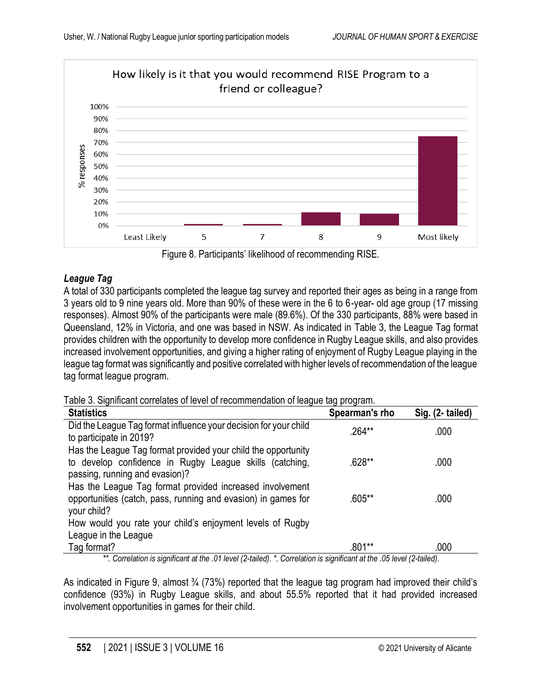



# *League Tag*

A total of 330 participants completed the league tag survey and reported their ages as being in a range from 3 years old to 9 nine years old. More than 90% of these were in the 6 to 6-year- old age group (17 missing responses). Almost 90% of the participants were male (89.6%). Of the 330 participants, 88% were based in Queensland, 12% in Victoria, and one was based in NSW. As indicated in Table 3, the League Tag format provides children with the opportunity to develop more confidence in Rugby League skills, and also provides increased involvement opportunities, and giving a higher rating of enjoyment of Rugby League playing in the league tag format was significantly and positive correlated with higher levels of recommendation of the league tag format league program.

Table 3. Significant correlates of level of recommendation of league tag program.

| <b>Statistics</b>                                                                                                                                          | Spearman's rho | Sig. (2- tailed) |
|------------------------------------------------------------------------------------------------------------------------------------------------------------|----------------|------------------|
| Did the League Tag format influence your decision for your child<br>to participate in 2019?                                                                | .264**         | .000             |
| Has the League Tag format provided your child the opportunity<br>to develop confidence in Rugby League skills (catching,<br>passing, running and evasion)? | .628**         | .000             |
| Has the League Tag format provided increased involvement<br>opportunities (catch, pass, running and evasion) in games for<br>your child?                   | $.605***$      | .000             |
| How would you rate your child's enjoyment levels of Rugby                                                                                                  |                |                  |
| League in the League                                                                                                                                       |                |                  |
| Tag format?                                                                                                                                                | .801**         | .000             |

*\*\*. Correlation is significant at the .01 level (2-tailed). \*. Correlation is significant at the .05 level (2-tailed).*

As indicated in Figure 9, almost 3/4 (73%) reported that the league tag program had improved their child's confidence (93%) in Rugby League skills, and about 55.5% reported that it had provided increased involvement opportunities in games for their child.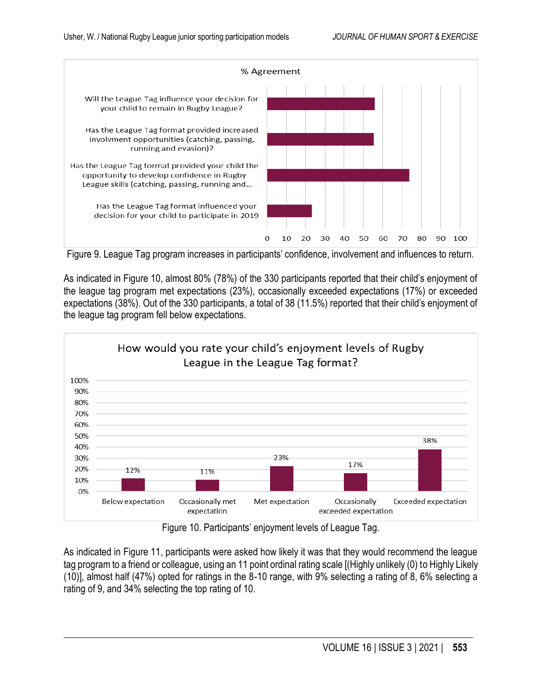

Figure 9. League Tag program increases in participants' confidence, involvement and influences to return.

As indicated in Figure 10, almost 80% (78%) of the 330 participants reported that their child's enjoyment of the league tag program met expectations (23%), occasionally exceeded expectations (17%) or exceeded expectations (38%). Out of the 330 participants, a total of 38 (11.5%) reported that their child's enjoyment of the league tag program fell below expectations.



Figure 10. Participants' enjoyment levels of League Tag.

As indicated in Figure 11, participants were asked how likely it was that they would recommend the league tag program to a friend or colleague, using an 11 point ordinal rating scale [(Highly unlikely (0) to Highly Likely (10)], almost half (47%) opted for ratings in the 8-10 range, with 9% selecting a rating of 8, 6% selecting a rating of 9, and 34% selecting the top rating of 10.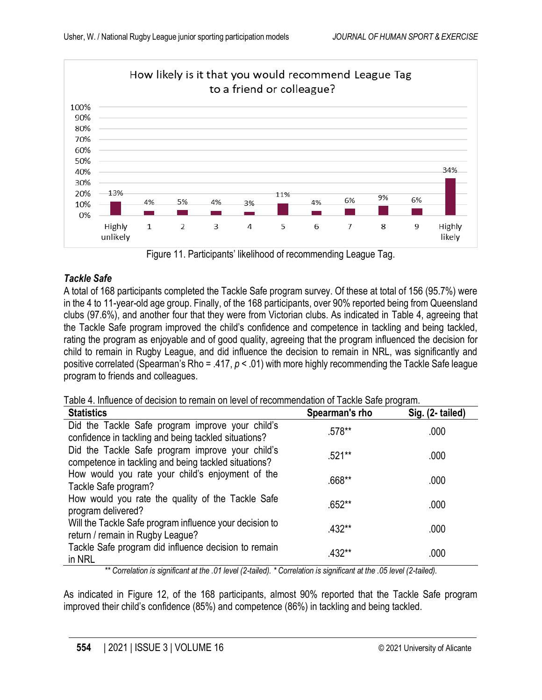

Figure 11. Participants' likelihood of recommending League Tag.

# *Tackle Safe*

A total of 168 participants completed the Tackle Safe program survey. Of these at total of 156 (95.7%) were in the 4 to 11-year-old age group. Finally, of the 168 participants, over 90% reported being from Queensland clubs (97.6%), and another four that they were from Victorian clubs. As indicated in Table 4, agreeing that the Tackle Safe program improved the child's confidence and competence in tackling and being tackled, rating the program as enjoyable and of good quality, agreeing that the program influenced the decision for child to remain in Rugby League, and did influence the decision to remain in NRL, was significantly and positive correlated (Spearman's Rho = .417, *p* < .01) with more highly recommending the Tackle Safe league program to friends and colleagues.

Table 4. Influence of decision to remain on level of recommendation of Tackle Safe program.

| <b>Statistics</b>                                                                                        | Spearman's rho | Sig. (2- tailed) |
|----------------------------------------------------------------------------------------------------------|----------------|------------------|
| Did the Tackle Safe program improve your child's<br>confidence in tackling and being tackled situations? | .578**         | .000             |
| Did the Tackle Safe program improve your child's<br>competence in tackling and being tackled situations? | .521**         | .000             |
| How would you rate your child's enjoyment of the<br>Tackle Safe program?                                 | .668**         | .000             |
| How would you rate the quality of the Tackle Safe<br>program delivered?                                  | $.652**$       | .000             |
| Will the Tackle Safe program influence your decision to<br>return / remain in Rugby League?              | $.432**$       | .000             |
| Tackle Safe program did influence decision to remain<br>in NRL                                           | .432**         | .000             |

*\*\* Correlation is significant at the .01 level (2-tailed). \* Correlation is significant at the .05 level (2-tailed).*

As indicated in Figure 12, of the 168 participants, almost 90% reported that the Tackle Safe program improved their child's confidence (85%) and competence (86%) in tackling and being tackled.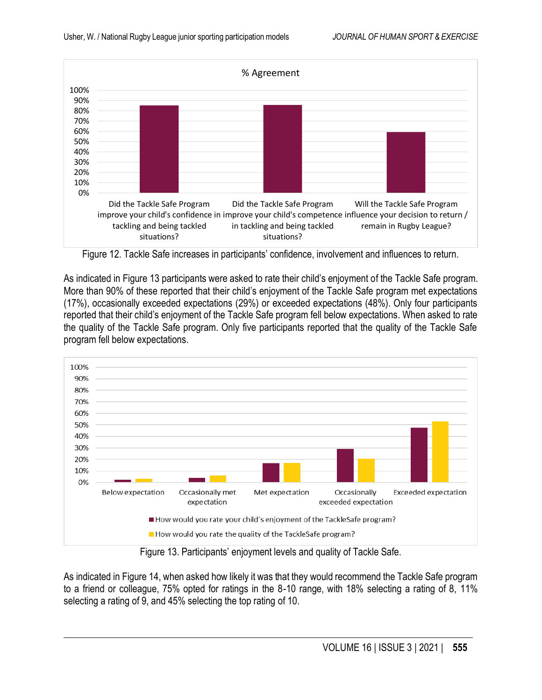

Figure 12. Tackle Safe increases in participants' confidence, involvement and influences to return.

As indicated in Figure 13 participants were asked to rate their child's enjoyment of the Tackle Safe program. More than 90% of these reported that their child's enjoyment of the Tackle Safe program met expectations (17%), occasionally exceeded expectations (29%) or exceeded expectations (48%). Only four participants reported that their child's enjoyment of the Tackle Safe program fell below expectations. When asked to rate the quality of the Tackle Safe program. Only five participants reported that the quality of the Tackle Safe program fell below expectations.



Figure 13. Participants' enjoyment levels and quality of Tackle Safe.

As indicated in Figure 14, when asked how likely it was that they would recommend the Tackle Safe program to a friend or colleague, 75% opted for ratings in the 8-10 range, with 18% selecting a rating of 8, 11% selecting a rating of 9, and 45% selecting the top rating of 10.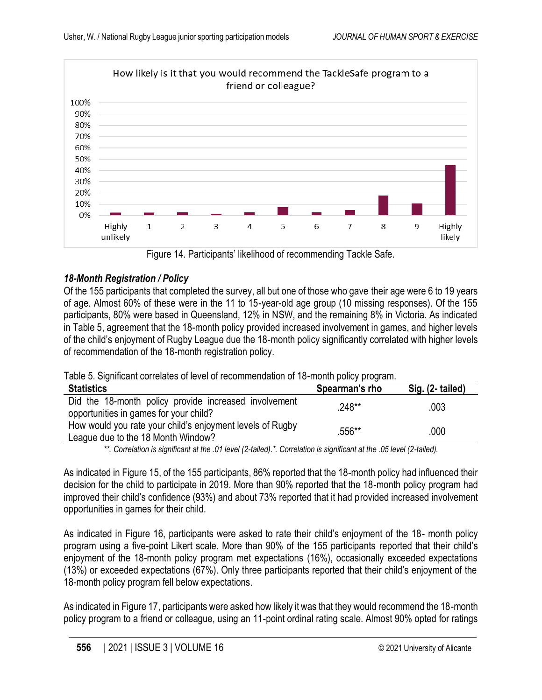

Figure 14. Participants' likelihood of recommending Tackle Safe.

# *18-Month Registration / Policy*

Of the 155 participants that completed the survey, all but one of those who gave their age were 6 to 19 years of age. Almost 60% of these were in the 11 to 15-year-old age group (10 missing responses). Of the 155 participants, 80% were based in Queensland, 12% in NSW, and the remaining 8% in Victoria. As indicated in Table 5, agreement that the 18-month policy provided increased involvement in games, and higher levels of the child's enjoyment of Rugby League due the 18-month policy significantly correlated with higher levels of recommendation of the 18-month registration policy.

| Table 5. Significant correlates of level of recommendation of 18-month policy program. |  |  |
|----------------------------------------------------------------------------------------|--|--|
|----------------------------------------------------------------------------------------|--|--|

| <b>Statistics</b>                                                                               | Spearman's rho | Sig. (2- tailed) |
|-------------------------------------------------------------------------------------------------|----------------|------------------|
| Did the 18-month policy provide increased involvement<br>opportunities in games for your child? | $.248**$       | .003             |
| How would you rate your child's enjoyment levels of Rugby<br>League due to the 18 Month Window? | .556**         | .000             |

*\*\*. Correlation is significant at the .01 level (2-tailed).\*. Correlation is significant at the .05 level (2-tailed).*

As indicated in Figure 15, of the 155 participants, 86% reported that the 18-month policy had influenced their decision for the child to participate in 2019. More than 90% reported that the 18-month policy program had improved their child's confidence (93%) and about 73% reported that it had provided increased involvement opportunities in games for their child.

As indicated in Figure 16, participants were asked to rate their child's enjoyment of the 18- month policy program using a five-point Likert scale. More than 90% of the 155 participants reported that their child's enjoyment of the 18-month policy program met expectations (16%), occasionally exceeded expectations (13%) or exceeded expectations (67%). Only three participants reported that their child's enjoyment of the 18-month policy program fell below expectations.

As indicated in Figure 17, participants were asked how likely it was that they would recommend the 18-month policy program to a friend or colleague, using an 11-point ordinal rating scale. Almost 90% opted for ratings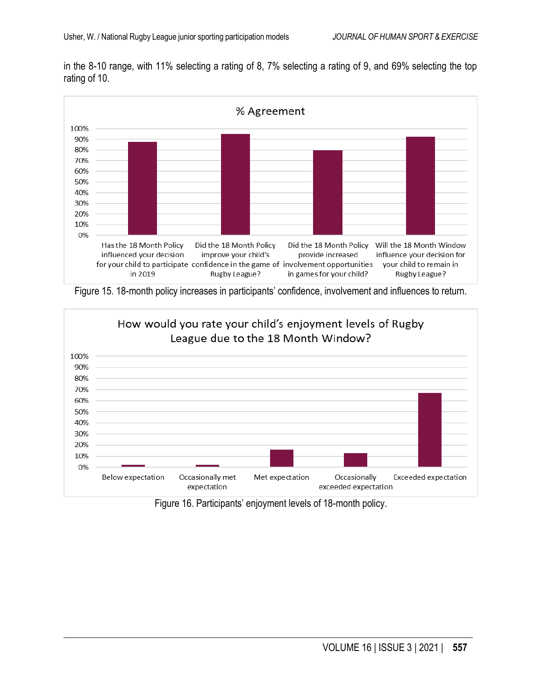in the 8-10 range, with 11% selecting a rating of 8, 7% selecting a rating of 9, and 69% selecting the top rating of 10.



Figure 15. 18-month policy increases in participants' confidence, involvement and influences to return.



Figure 16. Participants' enjoyment levels of 18-month policy.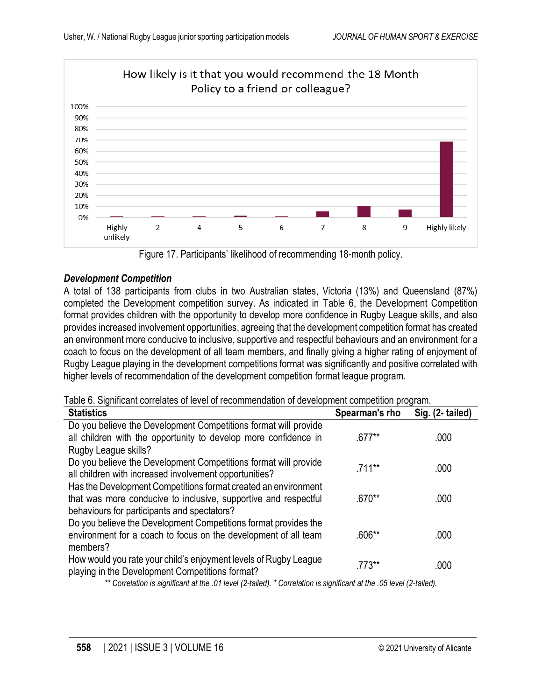

Figure 17. Participants' likelihood of recommending 18-month policy.

## *Development Competition*

A total of 138 participants from clubs in two Australian states, Victoria (13%) and Queensland (87%) completed the Development competition survey. As indicated in Table 6, the Development Competition format provides children with the opportunity to develop more confidence in Rugby League skills, and also provides increased involvement opportunities, agreeing that the development competition format has created an environment more conducive to inclusive, supportive and respectful behaviours and an environment for a coach to focus on the development of all team members, and finally giving a higher rating of enjoyment of Rugby League playing in the development competitions format was significantly and positive correlated with higher levels of recommendation of the development competition format league program.

|  |  |  |  | Table 6. Significant correlates of level of recommendation of development competition program. |  |  |  |  |
|--|--|--|--|------------------------------------------------------------------------------------------------|--|--|--|--|
|--|--|--|--|------------------------------------------------------------------------------------------------|--|--|--|--|

| <b>Statistics</b>                                                | Spearman's rho | Sig. (2- tailed) |
|------------------------------------------------------------------|----------------|------------------|
| Do you believe the Development Competitions format will provide  |                |                  |
| all children with the opportunity to develop more confidence in  | $.677**$       | .000             |
| Rugby League skills?                                             |                |                  |
| Do you believe the Development Competitions format will provide  | $.711**$       | .000             |
| all children with increased involvement opportunities?           |                |                  |
| Has the Development Competitions format created an environment   |                |                  |
| that was more conducive to inclusive, supportive and respectful  | $.670**$       | .000             |
| behaviours for participants and spectators?                      |                |                  |
| Do you believe the Development Competitions format provides the  |                |                  |
| environment for a coach to focus on the development of all team  | $.606**$       | .000             |
| members?                                                         |                |                  |
| How would you rate your child's enjoyment levels of Rugby League | $.773**$       | .000             |
| playing in the Development Competitions format?                  |                |                  |

*\*\* Correlation is significant at the .01 level (2-tailed). \* Correlation is significant at the .05 level (2-tailed).*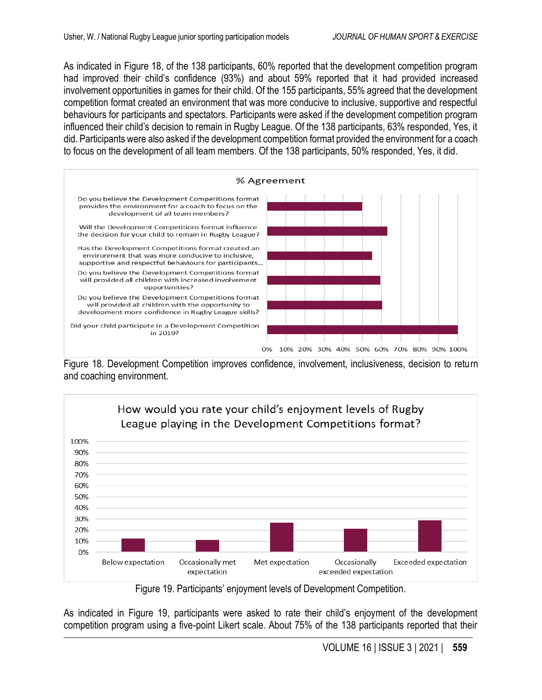As indicated in Figure 18, of the 138 participants, 60% reported that the development competition program had improved their child's confidence (93%) and about 59% reported that it had provided increased involvement opportunities in games for their child. Of the 155 participants, 55% agreed that the development competition format created an environment that was more conducive to inclusive, supportive and respectful behaviours for participants and spectators. Participants were asked if the development competition program influenced their child's decision to remain in Rugby League. Of the 138 participants, 63% responded, Yes, it did. Participants were also asked if the development competition format provided the environment for a coach to focus on the development of all team members. Of the 138 participants, 50% responded, Yes, it did.



Figure 18. Development Competition improves confidence, involvement, inclusiveness, decision to return and coaching environment.



Figure 19. Participants' enjoyment levels of Development Competition.

As indicated in Figure 19, participants were asked to rate their child's enjoyment of the development competition program using a five-point Likert scale. About 75% of the 138 participants reported that their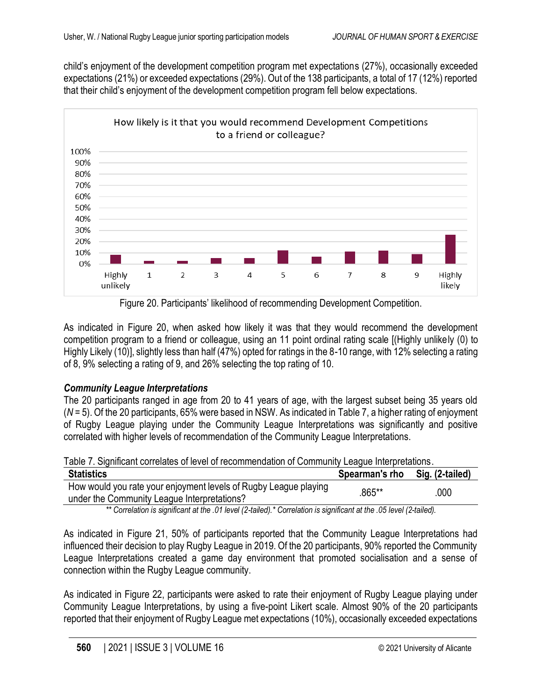child's enjoyment of the development competition program met expectations (27%), occasionally exceeded expectations (21%) or exceeded expectations (29%). Out of the 138 participants, a total of 17 (12%) reported that their child's enjoyment of the development competition program fell below expectations.



Figure 20. Participants' likelihood of recommending Development Competition.

As indicated in Figure 20, when asked how likely it was that they would recommend the development competition program to a friend or colleague, using an 11 point ordinal rating scale [(Highly unlikely (0) to Highly Likely (10)], slightly less than half (47%) opted for ratings in the 8-10 range, with 12% selecting a rating of 8, 9% selecting a rating of 9, and 26% selecting the top rating of 10.

### *Community League Interpretations*

The 20 participants ranged in age from 20 to 41 years of age, with the largest subset being 35 years old (*N* = 5). Of the 20 participants, 65% were based in NSW. As indicated in Table 7, a higher rating of enjoyment of Rugby League playing under the Community League Interpretations was significantly and positive correlated with higher levels of recommendation of the Community League Interpretations.

Table 7. Significant correlates of level of recommendation of Community League Interpretations.

| <b>Statistics</b>                                                                                               | Spearman's rho | Sig. (2-tailed) |
|-----------------------------------------------------------------------------------------------------------------|----------------|-----------------|
| How would you rate your enjoyment levels of Rugby League playing<br>under the Community League Interpretations? | .865**         | .000            |

*\*\* Correlation is significant at the .01 level (2-tailed).\* Correlation is significant at the .05 level (2-tailed).*

As indicated in Figure 21, 50% of participants reported that the Community League Interpretations had influenced their decision to play Rugby League in 2019. Of the 20 participants, 90% reported the Community League Interpretations created a game day environment that promoted socialisation and a sense of connection within the Rugby League community.

As indicated in Figure 22, participants were asked to rate their enjoyment of Rugby League playing under Community League Interpretations, by using a five-point Likert scale. Almost 90% of the 20 participants reported that their enjoyment of Rugby League met expectations (10%), occasionally exceeded expectations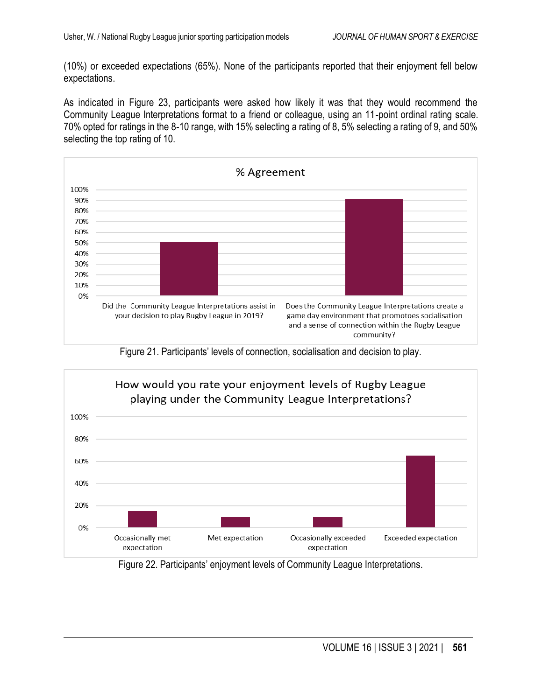(10%) or exceeded expectations (65%). None of the participants reported that their enjoyment fell below expectations.

As indicated in Figure 23, participants were asked how likely it was that they would recommend the Community League Interpretations format to a friend or colleague, using an 11-point ordinal rating scale. 70% opted for ratings in the 8-10 range, with 15% selecting a rating of 8, 5% selecting a rating of 9, and 50% selecting the top rating of 10.



Figure 21. Participants' levels of connection, socialisation and decision to play.



Figure 22. Participants' enjoyment levels of Community League Interpretations.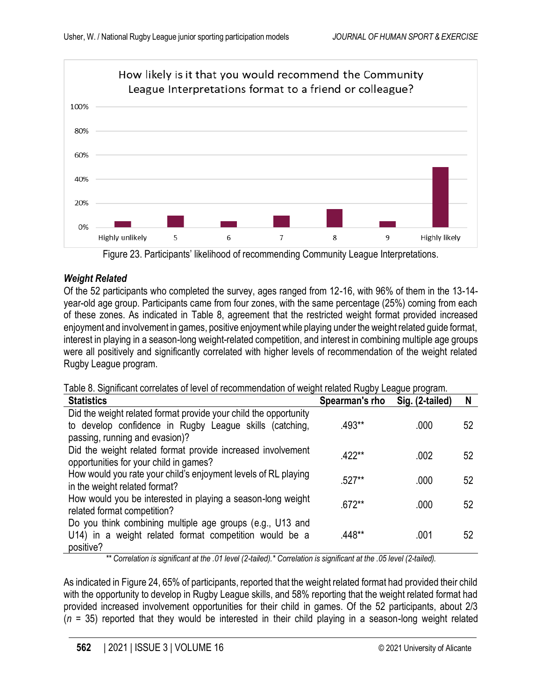

Figure 23. Participants' likelihood of recommending Community League Interpretations.

# *Weight Related*

Of the 52 participants who completed the survey, ages ranged from 12-16, with 96% of them in the 13-14 year-old age group. Participants came from four zones, with the same percentage (25%) coming from each of these zones. As indicated in Table 8, agreement that the restricted weight format provided increased enjoyment and involvement in games, positive enjoyment while playing under the weight related guide format, interest in playing in a season-long weight-related competition, and interest in combining multiple age groups were all positively and significantly correlated with higher levels of recommendation of the weight related Rugby League program.

|  | Table 8. Significant correlates of level of recommendation of weight related Rugby League program. |  |  |  |  |  |
|--|----------------------------------------------------------------------------------------------------|--|--|--|--|--|
|--|----------------------------------------------------------------------------------------------------|--|--|--|--|--|

| <b>Statistics</b>                                                                                     | Spearman's rho | Sig. (2-tailed) | N  |
|-------------------------------------------------------------------------------------------------------|----------------|-----------------|----|
| Did the weight related format provide your child the opportunity                                      |                |                 |    |
| to develop confidence in Rugby League skills (catching,<br>passing, running and evasion)?             | .493**         | .000            | 52 |
|                                                                                                       |                |                 |    |
| Did the weight related format provide increased involvement<br>opportunities for your child in games? | $.422**$       | .002            | 52 |
| How would you rate your child's enjoyment levels of RL playing                                        | .527**         | .000            | 52 |
| in the weight related format?                                                                         |                |                 |    |
| How would you be interested in playing a season-long weight                                           | $.672**$       | .000            | 52 |
| related format competition?                                                                           |                |                 |    |
| Do you think combining multiple age groups (e.g., U13 and                                             |                |                 |    |
| U14) in a weight related format competition would be a                                                | .448**         | .001            | 52 |
| positive?                                                                                             |                |                 |    |

*\*\* Correlation is significant at the .01 level (2-tailed).\* Correlation is significant at the .05 level (2-tailed).*

As indicated in Figure 24, 65% of participants, reported that the weight related format had provided their child with the opportunity to develop in Rugby League skills, and 58% reporting that the weight related format had provided increased involvement opportunities for their child in games. Of the 52 participants, about 2/3  $(n = 35)$  reported that they would be interested in their child playing in a season-long weight related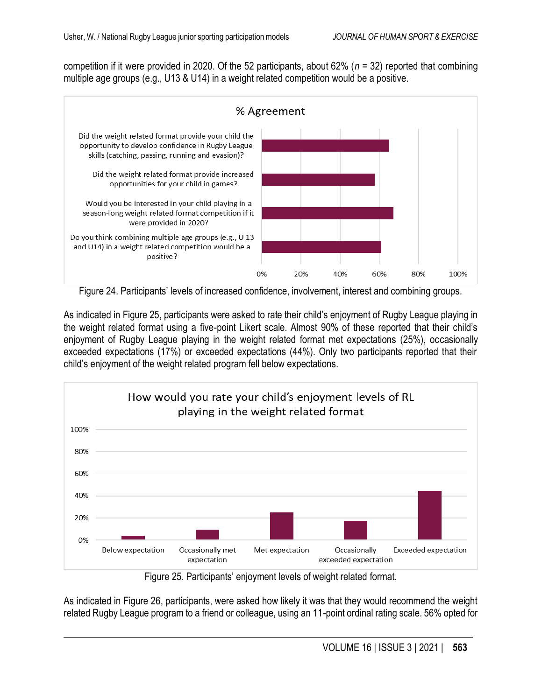competition if it were provided in 2020. Of the 52 participants, about 62% (*n* = 32) reported that combining multiple age groups (e.g., U13 & U14) in a weight related competition would be a positive.



Figure 24. Participants' levels of increased confidence, involvement, interest and combining groups.

As indicated in Figure 25, participants were asked to rate their child's enjoyment of Rugby League playing in the weight related format using a five-point Likert scale. Almost 90% of these reported that their child's enjoyment of Rugby League playing in the weight related format met expectations (25%), occasionally exceeded expectations (17%) or exceeded expectations (44%). Only two participants reported that their child's enjoyment of the weight related program fell below expectations.



Figure 25. Participants' enjoyment levels of weight related format.

As indicated in Figure 26, participants, were asked how likely it was that they would recommend the weight related Rugby League program to a friend or colleague, using an 11-point ordinal rating scale. 56% opted for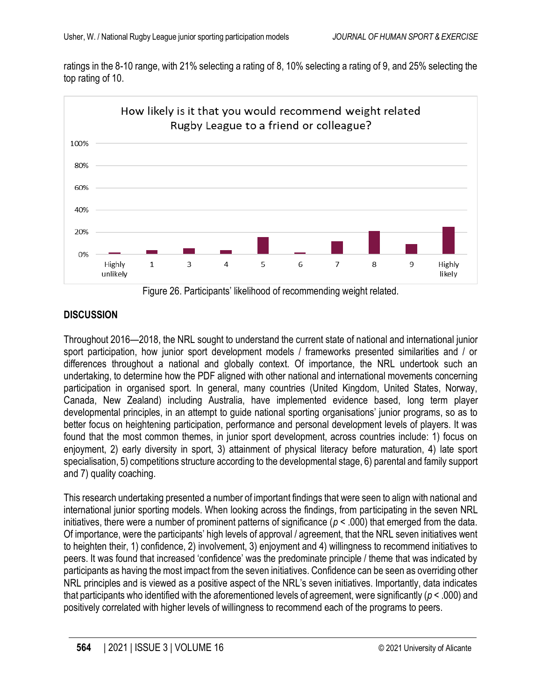ratings in the 8-10 range, with 21% selecting a rating of 8, 10% selecting a rating of 9, and 25% selecting the top rating of 10.



Figure 26. Participants' likelihood of recommending weight related.

# **DISCUSSION**

Throughout 2016—2018, the NRL sought to understand the current state of national and international junior sport participation, how junior sport development models / frameworks presented similarities and / or differences throughout a national and globally context. Of importance, the NRL undertook such an undertaking, to determine how the PDF aligned with other national and international movements concerning participation in organised sport. In general, many countries (United Kingdom, United States, Norway, Canada, New Zealand) including Australia, have implemented evidence based, long term player developmental principles, in an attempt to guide national sporting organisations' junior programs, so as to better focus on heightening participation, performance and personal development levels of players. It was found that the most common themes, in junior sport development, across countries include: 1) focus on enjoyment, 2) early diversity in sport, 3) attainment of physical literacy before maturation, 4) late sport specialisation, 5) competitions structure according to the developmental stage, 6) parental and family support and 7) quality coaching.

This research undertaking presented a number of important findings that were seen to align with national and international junior sporting models. When looking across the findings, from participating in the seven NRL initiatives, there were a number of prominent patterns of significance (*p* < .000) that emerged from the data. Of importance, were the participants' high levels of approval / agreement, that the NRL seven initiatives went to heighten their, 1) confidence, 2) involvement, 3) enjoyment and 4) willingness to recommend initiatives to peers. It was found that increased 'confidence' was the predominate principle / theme that was indicated by participants as having the most impact from the seven initiatives. Confidence can be seen as overriding other NRL principles and is viewed as a positive aspect of the NRL's seven initiatives. Importantly, data indicates that participants who identified with the aforementioned levels of agreement, were significantly (*p* < .000) and positively correlated with higher levels of willingness to recommend each of the programs to peers.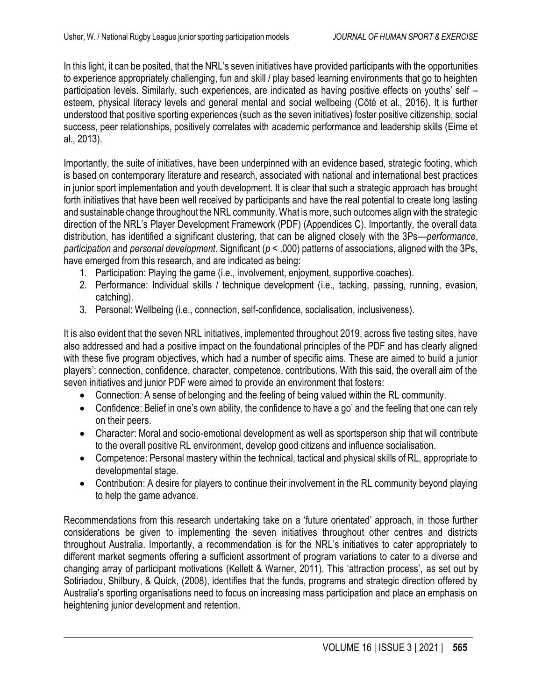In this light, it can be posited, that the NRL's seven initiatives have provided participants with the opportunities to experience appropriately challenging, fun and skill / play based learning environments that go to heighten participation levels. Similarly, such experiences, are indicated as having positive effects on youths' self – esteem, physical literacy levels and general mental and social wellbeing (Côté et al., 2016). It is further understood that positive sporting experiences (such as the seven initiatives) foster positive citizenship, social success, peer relationships, positively correlates with academic performance and leadership skills (Eime et al., 2013).

Importantly, the suite of initiatives, have been underpinned with an evidence based, strategic footing, which is based on contemporary literature and research, associated with national and international best practices in junior sport implementation and youth development. It is clear that such a strategic approach has brought forth initiatives that have been well received by participants and have the real potential to create long lasting and sustainable change throughout the NRL community. What is more, such outcomes align with the strategic direction of the NRL's Player Development Framework (PDF) (Appendices C). Importantly, the overall data distribution, has identified a significant clustering, that can be aligned closely with the 3Ps—*performance*, *participation* and *personal development*. Significant (*p* < .000) patterns of associations, aligned with the 3Ps, have emerged from this research, and are indicated as being:

- 1. Participation: Playing the game (i.e., involvement, enjoyment, supportive coaches).
- 2. Performance: Individual skills / technique development (i.e., tacking, passing, running, evasion, catching).
- 3. Personal: Wellbeing (i.e., connection, self-confidence, socialisation, inclusiveness).

It is also evident that the seven NRL initiatives, implemented throughout 2019, across five testing sites, have also addressed and had a positive impact on the foundational principles of the PDF and has clearly aligned with these five program objectives, which had a number of specific aims. These are aimed to build a junior players': connection, confidence, character, competence, contributions. With this said, the overall aim of the seven initiatives and junior PDF were aimed to provide an environment that fosters:

- Connection: A sense of belonging and the feeling of being valued within the RL community.
- Confidence: Belief in one's own ability, the confidence to have a go' and the feeling that one can rely on their peers.
- Character: Moral and socio-emotional development as well as sportsperson ship that will contribute to the overall positive RL environment, develop good citizens and influence socialisation.
- Competence: Personal mastery within the technical, tactical and physical skills of RL, appropriate to developmental stage.
- Contribution: A desire for players to continue their involvement in the RL community beyond playing to help the game advance.

Recommendations from this research undertaking take on a 'future orientated' approach, in those further considerations be given to implementing the seven initiatives throughout other centres and districts throughout Australia. Importantly, a recommendation is for the NRL's initiatives to cater appropriately to different market segments offering a sufficient assortment of program variations to cater to a diverse and changing array of participant motivations (Kellett & Warner, 2011). This 'attraction process', as set out by Sotiriadou, Shilbury, & Quick, (2008), identifies that the funds, programs and strategic direction offered by Australia's sporting organisations need to focus on increasing mass participation and place an emphasis on heightening junior development and retention.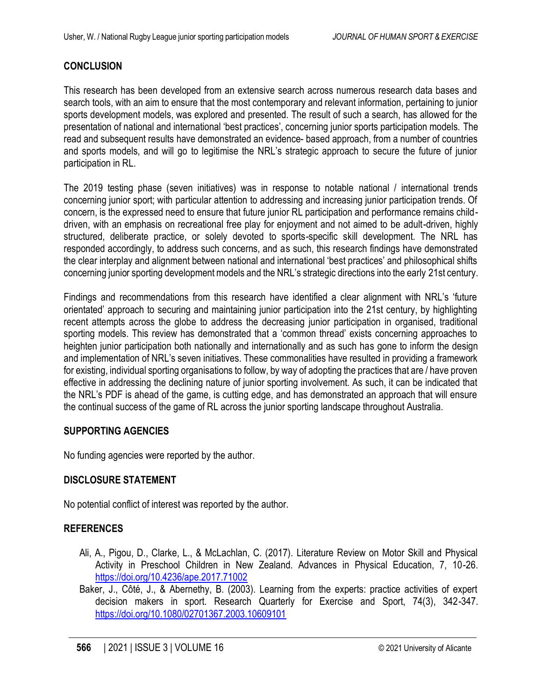### **CONCLUSION**

This research has been developed from an extensive search across numerous research data bases and search tools, with an aim to ensure that the most contemporary and relevant information, pertaining to junior sports development models, was explored and presented. The result of such a search, has allowed for the presentation of national and international 'best practices', concerning junior sports participation models. The read and subsequent results have demonstrated an evidence- based approach, from a number of countries and sports models, and will go to legitimise the NRL's strategic approach to secure the future of junior participation in RL.

The 2019 testing phase (seven initiatives) was in response to notable national / international trends concerning junior sport; with particular attention to addressing and increasing junior participation trends. Of concern, is the expressed need to ensure that future junior RL participation and performance remains childdriven, with an emphasis on recreational free play for enjoyment and not aimed to be adult-driven, highly structured, deliberate practice, or solely devoted to sports-specific skill development. The NRL has responded accordingly, to address such concerns, and as such, this research findings have demonstrated the clear interplay and alignment between national and international 'best practices' and philosophical shifts concerning junior sporting development models and the NRL's strategic directions into the early 21st century.

Findings and recommendations from this research have identified a clear alignment with NRL's 'future orientated' approach to securing and maintaining junior participation into the 21st century, by highlighting recent attempts across the globe to address the decreasing junior participation in organised, traditional sporting models. This review has demonstrated that a 'common thread' exists concerning approaches to heighten junior participation both nationally and internationally and as such has gone to inform the design and implementation of NRL's seven initiatives. These commonalities have resulted in providing a framework for existing, individual sporting organisations to follow, by way of adopting the practices that are / have proven effective in addressing the declining nature of junior sporting involvement. As such, it can be indicated that the NRL's PDF is ahead of the game, is cutting edge, and has demonstrated an approach that will ensure the continual success of the game of RL across the junior sporting landscape throughout Australia.

#### **SUPPORTING AGENCIES**

No funding agencies were reported by the author.

### **DISCLOSURE STATEMENT**

No potential conflict of interest was reported by the author.

### **REFERENCES**

- Ali, A., Pigou, D., Clarke, L., & McLachlan, C. (2017). Literature Review on Motor Skill and Physical Activity in Preschool Children in New Zealand. Advances in Physical Education, 7, 10-26. <https://doi.org/10.4236/ape.2017.71002>
- Baker, J., Côté, J., & Abernethy, B. (2003). Learning from the experts: practice activities of expert decision makers in sport. Research Quarterly for Exercise and Sport, 74(3), 342-347. <https://doi.org/10.1080/02701367.2003.10609101>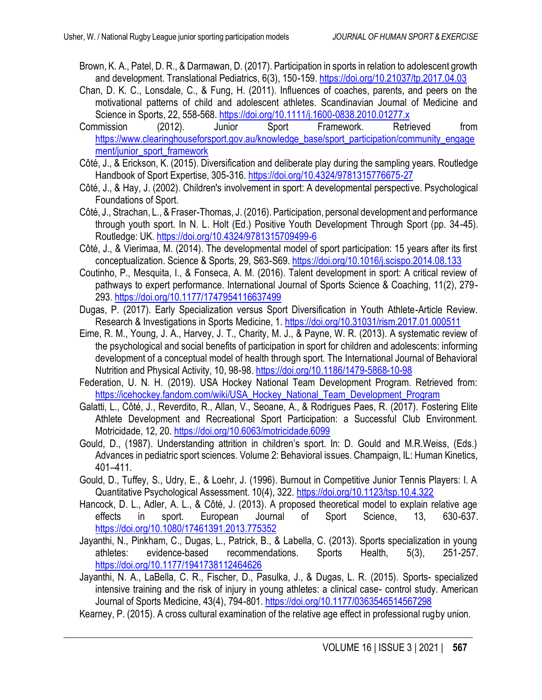- Brown, K. A., Patel, D. R., & Darmawan, D. (2017). Participation in sports in relation to adolescent growth and development. Translational Pediatrics, 6(3), 150-159.<https://doi.org/10.21037/tp.2017.04.03>
- Chan, D. K. C., Lonsdale, C., & Fung, H. (2011). Influences of coaches, parents, and peers on the motivational patterns of child and adolescent athletes. Scandinavian Journal of Medicine and Science in Sports, 22, 558-568.<https://doi.org/10.1111/j.1600-0838.2010.01277.x>
- Commission (2012). Junior Sport Framework. Retrieved from [https://www.clearinghouseforsport.gov.au/knowledge\\_base/sport\\_participation/community\\_engage](https://www.clearinghouseforsport.gov.au/knowledge_base/sport_participation/community_engagement/junior_sport_framework) [ment/junior\\_sport\\_framework](https://www.clearinghouseforsport.gov.au/knowledge_base/sport_participation/community_engagement/junior_sport_framework)
- Côté, J., & Erickson, K. (2015). Diversification and deliberate play during the sampling years. Routledge Handbook of Sport Expertise, 305-316. <https://doi.org/10.4324/9781315776675-27>
- Côté, J., & Hay, J. (2002). Children's involvement in sport: A developmental perspective. Psychological Foundations of Sport.
- Côté, J., Strachan, L., & Fraser-Thomas, J. (2016). Participation, personal development and performance through youth sport. In N. L. Holt (Ed.) Positive Youth Development Through Sport (pp. 34-45). Routledge: UK. <https://doi.org/10.4324/9781315709499-6>
- Côté, J., & Vierimaa, M. (2014). The developmental model of sport participation: 15 years after its first conceptualization. Science & Sports, 29, S63-S69.<https://doi.org/10.1016/j.scispo.2014.08.133>
- Coutinho, P., Mesquita, I., & Fonseca, A. M. (2016). Talent development in sport: A critical review of pathways to expert performance. International Journal of Sports Science & Coaching, 11(2), 279- 293[. https://doi.org/10.1177/1747954116637499](https://doi.org/10.1177/1747954116637499)
- Dugas, P. (2017). Early Specialization versus Sport Diversification in Youth Athlete-Article Review. Research & Investigations in Sports Medicine, 1.<https://doi.org/10.31031/rism.2017.01.000511>
- Eime, R. M., Young, J. A., Harvey, J. T., Charity, M. J., & Payne, W. R. (2013). A systematic review of the psychological and social benefits of participation in sport for children and adolescents: informing development of a conceptual model of health through sport. The International Journal of Behavioral Nutrition and Physical Activity, 10, 98-98.<https://doi.org/10.1186/1479-5868-10-98>
- Federation, U. N. H. (2019). USA Hockey National Team Development Program. Retrieved from: [https://icehockey.fandom.com/wiki/USA\\_Hockey\\_National\\_Team\\_Development\\_Program](https://icehockey.fandom.com/wiki/USA_Hockey_National_Team_Development_Program)
- Galatti, L., Côté, J., Reverdito, R., Allan, V., Seoane, A., & Rodrigues Paes, R. (2017). Fostering Elite Athlete Development and Recreational Sport Participation: a Successful Club Environment. Motricidade, 12, 20.<https://doi.org/10.6063/motricidade.6099>
- Gould, D., (1987). Understanding attrition in children's sport. In: D. Gould and M.R.Weiss, (Eds.) Advances in pediatric sport sciences. Volume 2: Behavioral issues. Champaign, IL: Human Kinetics, 401–411.
- Gould, D., Tuffey, S., Udry, E., & Loehr, J. (1996). Burnout in Competitive Junior Tennis Players: I. A Quantitative Psychological Assessment. 10(4), 322.<https://doi.org/10.1123/tsp.10.4.322>
- Hancock, D. L., Adler, A. L., & Côté, J. (2013). A proposed theoretical model to explain relative age effects in sport. European Journal of Sport Science, 13, 630-637. <https://doi.org/10.1080/17461391.2013.775352>
- Jayanthi, N., Pinkham, C., Dugas, L., Patrick, B., & Labella, C. (2013). Sports specialization in young athletes: evidence-based recommendations. Sports Health, 5(3), 251-257. <https://doi.org/10.1177/1941738112464626>
- Jayanthi, N. A., LaBella, C. R., Fischer, D., Pasulka, J., & Dugas, L. R. (2015). Sports- specialized intensive training and the risk of injury in young athletes: a clinical case- control study. American Journal of Sports Medicine, 43(4), 794-801[. https://doi.org/10.1177/0363546514567298](https://doi.org/10.1177/0363546514567298)
- Kearney, P. (2015). A cross cultural examination of the relative age effect in professional rugby union.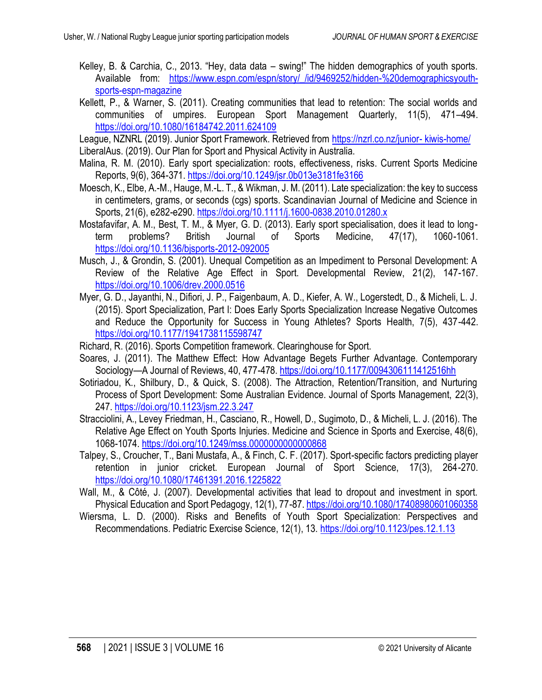- Kelley, B. & Carchia, C., 2013. "Hey, data data swing!" The hidden demographics of youth sports. Available from: https://www.espn.com/espn/story/ /id/9469252/hidden-%20demographicsyouth[sports-espn-magazine](https://www.espn.com/espn/story/_/id/9469252/hidden-%20demographicsyouth-sports-espn-magazine)
- Kellett, P., & Warner, S. (2011). Creating communities that lead to retention: The social worlds and communities of umpires. European Sport Management Quarterly, 11(5), 471–494. <https://doi.org/10.1080/16184742.2011.624109>
- League, NZNRL (2019). Junior Sport Framework. Retrieved from [https://nzrl.co.nz/junior-](https://nzrl.co.nz/junior-%20kiwis-home/) kiwis-home/ LiberalAus. (2019). Our Plan for Sport and Physical Activity in Australia.
- Malina, R. M. (2010). Early sport specialization: roots, effectiveness, risks. Current Sports Medicine Reports, 9(6), 364-371.<https://doi.org/10.1249/jsr.0b013e3181fe3166>
- Moesch, K., Elbe, A.-M., Hauge, M.-L. T., & Wikman, J. M. (2011). Late specialization: the key to success in centimeters, grams, or seconds (cgs) sports. Scandinavian Journal of Medicine and Science in Sports, 21(6), e282-e290[. https://doi.org/10.1111/j.1600-0838.2010.01280.x](https://doi.org/10.1111/j.1600-0838.2010.01280.x)
- Mostafavifar, A. M., Best, T. M., & Myer, G. D. (2013). Early sport specialisation, does it lead to longterm problems? British Journal of Sports Medicine, 47(17), 1060-1061. <https://doi.org/10.1136/bjsports-2012-092005>
- Musch, J., & Grondin, S. (2001). Unequal Competition as an Impediment to Personal Development: A Review of the Relative Age Effect in Sport. Developmental Review, 21(2), 147-167. <https://doi.org/10.1006/drev.2000.0516>
- Myer, G. D., Jayanthi, N., Difiori, J. P., Faigenbaum, A. D., Kiefer, A. W., Logerstedt, D., & Micheli, L. J. (2015). Sport Specialization, Part I: Does Early Sports Specialization Increase Negative Outcomes and Reduce the Opportunity for Success in Young Athletes? Sports Health, 7(5), 437-442. <https://doi.org/10.1177/1941738115598747>
- Richard, R. (2016). Sports Competition framework. Clearinghouse for Sport.
- Soares, J. (2011). The Matthew Effect: How Advantage Begets Further Advantage. Contemporary Sociology—A Journal of Reviews, 40, 477-478.<https://doi.org/10.1177/0094306111412516hh>
- Sotiriadou, K., Shilbury, D., & Quick, S. (2008). The Attraction, Retention/Transition, and Nurturing Process of Sport Development: Some Australian Evidence. Journal of Sports Management, 22(3), 247[. https://doi.org/10.1123/jsm.22.3.247](https://doi.org/10.1123/jsm.22.3.247)
- Stracciolini, A., Levey Friedman, H., Casciano, R., Howell, D., Sugimoto, D., & Micheli, L. J. (2016). The Relative Age Effect on Youth Sports Injuries. Medicine and Science in Sports and Exercise, 48(6), 1068-1074.<https://doi.org/10.1249/mss.0000000000000868>
- Talpey, S., Croucher, T., Bani Mustafa, A., & Finch, C. F. (2017). Sport-specific factors predicting player retention in junior cricket. European Journal of Sport Science, 17(3), 264-270. <https://doi.org/10.1080/17461391.2016.1225822>
- Wall, M., & Côté, J. (2007). Developmental activities that lead to dropout and investment in sport. Physical Education and Sport Pedagogy, 12(1), 77-87[. https://doi.org/10.1080/17408980601060358](https://doi.org/10.1080/17408980601060358)
- Wiersma, L. D. (2000). Risks and Benefits of Youth Sport Specialization: Perspectives and Recommendations. Pediatric Exercise Science, 12(1), 13.<https://doi.org/10.1123/pes.12.1.13>